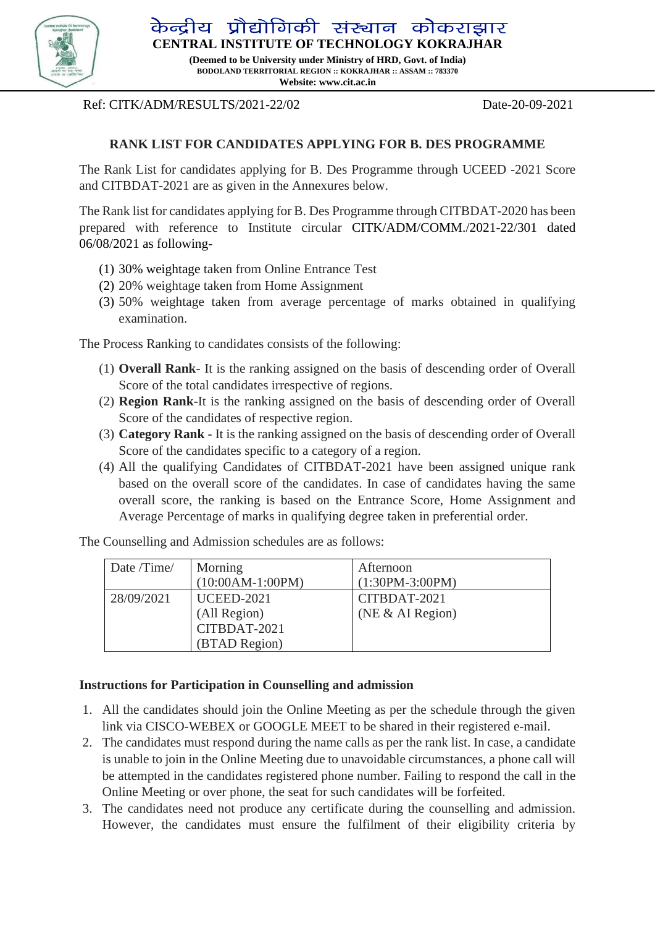

केन्द्रीय प्रौद्योगिकी संस्थान कोकराझार **CENTRAL INSTITUTE OF TECHNOLOGY KOKRAJHAR**

> **(Deemed to be University under Ministry of HRD, Govt. of India) BODOLAND TERRITORIAL REGION :: KOKRAJHAR :: ASSAM :: 783370 Website: www.cit.ac.in**

Ref: CITK/ADM/RESULTS/2021-22/02 Date-20-09-2021

# **RANK LIST FOR CANDIDATES APPLYING FOR B. DES PROGRAMME**

The Rank List for candidates applying for B. Des Programme through UCEED -2021 Score and CITBDAT-2021 are as given in the Annexures below.

The Rank list for candidates applying for B. Des Programme through CITBDAT-2020 has been prepared with reference to Institute circular CITK/ADM/COMM./2021-22/301 dated 06/08/2021 as following-

- (1) 30% weightage taken from Online Entrance Test
- (2) 20% weightage taken from Home Assignment
- (3) 50% weightage taken from average percentage of marks obtained in qualifying examination.

The Process Ranking to candidates consists of the following:

- (1) **Overall Rank** It is the ranking assigned on the basis of descending order of Overall Score of the total candidates irrespective of regions.
- (2) **Region Rank**-It is the ranking assigned on the basis of descending order of Overall Score of the candidates of respective region.
- (3) **Category Rank** It is the ranking assigned on the basis of descending order of Overall Score of the candidates specific to a category of a region.
- (4) All the qualifying Candidates of CITBDAT-2021 have been assigned unique rank based on the overall score of the candidates. In case of candidates having the same overall score, the ranking is based on the Entrance Score, Home Assignment and Average Percentage of marks in qualifying degree taken in preferential order.

The Counselling and Admission schedules are as follows:

| Date /Time/ | Morning            | Afternoon         |
|-------------|--------------------|-------------------|
|             | $(10:00AM-1:00PM)$ | $(1:30PM-3:00PM)$ |
| 28/09/2021  | <b>UCEED-2021</b>  | CITBDAT-2021      |
|             | (All Region)       | (NE & A1 Region)  |
|             | CITBDAT-2021       |                   |
|             | (BTAD Region)      |                   |

# **Instructions for Participation in Counselling and admission**

- 1. All the candidates should join the Online Meeting as per the schedule through the given link via CISCO-WEBEX or GOOGLE MEET to be shared in their registered e-mail.
- 2. The candidates must respond during the name calls as per the rank list. In case, a candidate is unable to join in the Online Meeting due to unavoidable circumstances, a phone call will be attempted in the candidates registered phone number. Failing to respond the call in the Online Meeting or over phone, the seat for such candidates will be forfeited.
- 3. The candidates need not produce any certificate during the counselling and admission. However, the candidates must ensure the fulfilment of their eligibility criteria by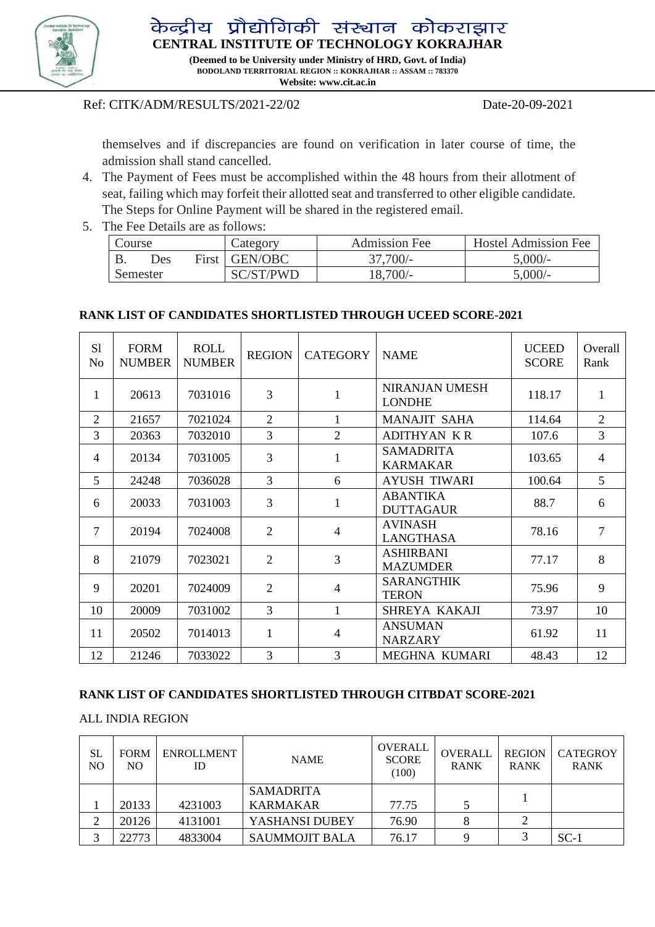

केन्द्रीय प्रौद्योगिकी संस्थान कोकराझार

**CENTRAL INSTITUTE OF TECHNOLOGY KOKRAJHAR**

**(Deemed to be University under Ministry of HRD, Govt. of India) BODOLAND TERRITORIAL REGION :: KOKRAJHAR :: ASSAM :: 783370 Website: www.cit.ac.in** 

# Ref: CITK/ADM/RESULTS/2021-22/02 Date-20-09-2021

themselves and if discrepancies are found on verification in later course of time, the admission shall stand cancelled.

- 4. The Payment of Fees must be accomplished within the 48 hours from their allotment of seat, failing which may forfeit their allotted seat and transferred to other eligible candidate. The Steps for Online Payment will be shared in the registered email.
- 5. The Fee Details are as follows:

| Course |          | Category | <b>Admission Fee</b> | <b>Hostel Admission Fee</b> |           |
|--------|----------|----------|----------------------|-----------------------------|-----------|
|        | Des      |          | First GEN/OBC        | $37.700/-$                  | $5,000/-$ |
|        | Semester |          | SC/ST/PWD            | $18,700/-$                  | 5.000/-   |

# **RANK LIST OF CANDIDATES SHORTLISTED THROUGH UCEED SCORE-2021**

| S <sub>1</sub><br>No | <b>FORM</b><br><b>NUMBER</b> | <b>ROLL</b><br><b>NUMBER</b> | <b>REGION</b>  | <b>CATEGORY</b> | <b>NAME</b>                            | <b>UCEED</b><br><b>SCORE</b> | Overall<br>Rank |
|----------------------|------------------------------|------------------------------|----------------|-----------------|----------------------------------------|------------------------------|-----------------|
| 1                    | 20613                        | 7031016                      | 3              | 1               | <b>NIRANJAN UMESH</b><br><b>LONDHE</b> | 118.17                       | 1               |
| $\overline{2}$       | 21657                        | 7021024                      | $\overline{2}$ |                 | <b>MANAJIT SAHA</b>                    | 114.64                       | $\overline{2}$  |
| 3                    | 20363                        | 7032010                      | 3              | $\overline{2}$  | <b>ADITHYAN KR</b>                     | 107.6                        | 3               |
| $\overline{4}$       | 20134                        | 7031005                      | 3              | 1               | <b>SAMADRITA</b><br><b>KARMAKAR</b>    | 103.65                       | $\overline{4}$  |
| 5                    | 24248                        | 7036028                      | 3              | 6               | <b>AYUSH TIWARI</b>                    | 100.64                       | 5               |
| 6                    | 20033                        | 7031003                      | 3              | 1               | <b>ABANTIKA</b><br><b>DUTTAGAUR</b>    | 88.7                         | 6               |
| 7                    | 20194                        | 7024008                      | 2              | $\overline{4}$  | <b>AVINASH</b><br><b>LANGTHASA</b>     | 78.16                        | $\overline{7}$  |
| 8                    | 21079                        | 7023021                      | 2              | 3               | <b>ASHIRBANI</b><br><b>MAZUMDER</b>    | 77.17                        | 8               |
| 9                    | 20201                        | 7024009                      | $\overline{2}$ | $\overline{4}$  | <b>SARANGTHIK</b><br><b>TERON</b>      | 75.96                        | 9               |
| 10                   | 20009                        | 7031002                      | $\overline{3}$ | 1               | SHREYA KAKAJI                          | 73.97                        | 10              |
| 11                   | 20502                        | 7014013                      | 1              | $\overline{4}$  | <b>ANSUMAN</b><br><b>NARZARY</b>       | 61.92                        | 11              |
| 12                   | 21246                        | 7033022                      | 3              | 3               | MEGHNA KUMARI                          | 48.43                        | 12              |

# **RANK LIST OF CANDIDATES SHORTLISTED THROUGH CITBDAT SCORE-2021**

# ALL INDIA REGION

| SL<br>NO. | <b>FORM</b><br>NO. | <b>ENROLLMENT</b><br>ID | <b>NAME</b>           | <b>OVERALL</b><br><b>SCORE</b><br>(100) | <b>OVERALL</b><br><b>RANK</b> | <b>REGION</b><br><b>RANK</b> | <b>CATEGROY</b><br><b>RANK</b> |
|-----------|--------------------|-------------------------|-----------------------|-----------------------------------------|-------------------------------|------------------------------|--------------------------------|
|           |                    |                         | <b>SAMADRITA</b>      |                                         |                               |                              |                                |
|           | 20133              | 4231003                 | <b>KARMAKAR</b>       | 77.75                                   |                               |                              |                                |
| ◠         | 20126              | 4131001                 | YASHANSI DUBEY        | 76.90                                   |                               |                              |                                |
|           | 22773              | 4833004                 | <b>SAUMMOJIT BALA</b> | 76.17                                   |                               |                              | $SC-1$                         |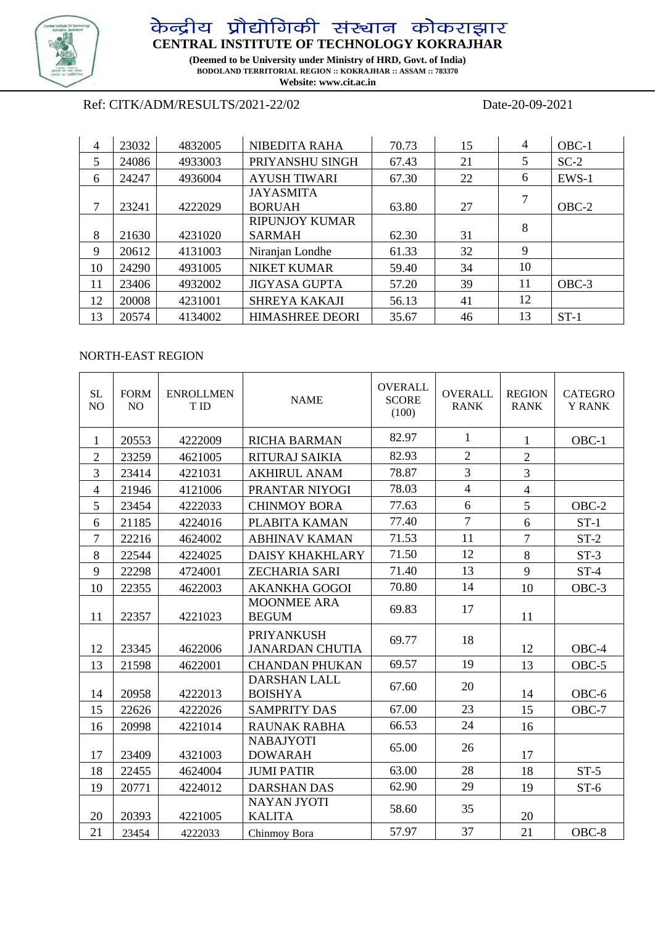

# **CENTRAL INSTITUTE OF TECHNOLOGY KOKRAJHAR**

**(Deemed to be University under Ministry of HRD, Govt. of India) BODOLAND TERRITORIAL REGION :: KOKRAJHAR :: ASSAM :: 783370 Website: www.cit.ac.in** 

# Ref: CITK/ADM/RESULTS/2021-22/02 Date-20-09-2021

| 4  | 23032 | 4832005 | NIBEDITA RAHA                     | 70.73 | 15 | 4  | OBC-1   |
|----|-------|---------|-----------------------------------|-------|----|----|---------|
| 5  | 24086 | 4933003 | PRIYANSHU SINGH                   | 67.43 | 21 | 5  | $SC-2$  |
| 6  | 24247 | 4936004 | <b>AYUSH TIWARI</b>               | 67.30 | 22 | 6  | $EWS-1$ |
| 7  | 23241 | 4222029 | <b>JAYASMITA</b><br><b>BORUAH</b> | 63.80 | 27 | 7  | $OBC-2$ |
|    |       |         | <b>RIPUNJOY KUMAR</b>             |       |    | 8  |         |
| 8  | 21630 | 4231020 | <b>SARMAH</b>                     | 62.30 | 31 |    |         |
| 9  | 20612 | 4131003 | Niranjan Londhe                   | 61.33 | 32 | 9  |         |
| 10 | 24290 | 4931005 | <b>NIKET KUMAR</b>                | 59.40 | 34 | 10 |         |
| 11 | 23406 | 4932002 | <b>JIGYASA GUPTA</b>              | 57.20 | 39 | 11 | $OBC-3$ |
| 12 | 20008 | 4231001 | <b>SHREYA KAKAJI</b>              | 56.13 | 41 | 12 |         |
| 13 | 20574 | 4134002 | <b>HIMASHREE DEORI</b>            | 35.67 | 46 | 13 | $ST-1$  |

### NORTH-EAST REGION

| <b>SL</b><br>N <sub>O</sub> | <b>FORM</b><br>N <sub>O</sub> | <b>ENROLLMEN</b><br>T ID | <b>NAME</b>                                 | <b>OVERALL</b><br><b>SCORE</b><br>(100) | <b>OVERALL</b><br><b>RANK</b> | <b>REGION</b><br><b>RANK</b> | <b>CATEGRO</b><br><b>Y RANK</b> |
|-----------------------------|-------------------------------|--------------------------|---------------------------------------------|-----------------------------------------|-------------------------------|------------------------------|---------------------------------|
| 1                           | 20553                         | 4222009                  | <b>RICHA BARMAN</b>                         | 82.97                                   | 1                             | $\mathbf{1}$                 | OBC-1                           |
| $\overline{2}$              | 23259                         | 4621005                  | <b>RITURAJ SAIKIA</b>                       | 82.93                                   | $\overline{2}$                | $\overline{2}$               |                                 |
| 3                           | 23414                         | 4221031                  | <b>AKHIRUL ANAM</b>                         | 78.87                                   | $\overline{3}$                | $\overline{3}$               |                                 |
| $\overline{4}$              | 21946                         | 4121006                  | PRANTAR NIYOGI                              | 78.03                                   | $\overline{4}$                | $\overline{4}$               |                                 |
| 5                           | 23454                         | 4222033                  | <b>CHINMOY BORA</b>                         | 77.63                                   | 6                             | 5                            | $OBC-2$                         |
| 6                           | 21185                         | 4224016                  | PLABITA KAMAN                               | 77.40                                   | $\overline{7}$                | 6                            | $ST-1$                          |
| $\overline{7}$              | 22216                         | 4624002                  | <b>ABHINAV KAMAN</b>                        | 71.53                                   | 11                            | $\overline{7}$               | $ST-2$                          |
| 8                           | 22544                         | 4224025                  | <b>DAISY KHAKHLARY</b>                      | 71.50                                   | 12                            | 8                            | $ST-3$                          |
| 9                           | 22298                         | 4724001                  | <b>ZECHARIA SARI</b>                        | 71.40                                   | 13                            | 9                            | $ST-4$                          |
| 10                          | 22355                         | 4622003                  | <b>AKANKHA GOGOI</b>                        | 70.80                                   | 14                            | 10                           | OBC-3                           |
| 11                          | 22357                         | 4221023                  | <b>MOONMEE ARA</b><br><b>BEGUM</b>          | 69.83                                   | 17                            | 11                           |                                 |
| 12                          | 23345                         | 4622006                  | <b>PRIYANKUSH</b><br><b>JANARDAN CHUTIA</b> | 69.77                                   | 18                            | 12                           | OBC-4                           |
| 13                          | 21598                         | 4622001                  | <b>CHANDAN PHUKAN</b>                       | 69.57                                   | 19                            | 13                           | OBC-5                           |
| 14                          | 20958                         | 4222013                  | <b>DARSHAN LALL</b><br><b>BOISHYA</b>       | 67.60                                   | 20                            | 14                           | OBC-6                           |
| 15                          | 22626                         | 4222026                  | <b>SAMPRITY DAS</b>                         | 67.00                                   | 23                            | 15                           | $OBC-7$                         |
| 16                          | 20998                         | 4221014                  | <b>RAUNAK RABHA</b>                         | 66.53                                   | 24                            | 16                           |                                 |
| 17                          | 23409                         | 4321003                  | <b>NABAJYOTI</b><br><b>DOWARAH</b>          | 65.00                                   | 26                            | 17                           |                                 |
| 18                          | 22455                         | 4624004                  | <b>JUMI PATIR</b>                           | 63.00                                   | 28                            | 18                           | $ST-5$                          |
| 19                          | 20771                         | 4224012                  | <b>DARSHAN DAS</b>                          | 62.90                                   | 29                            | 19                           | $ST-6$                          |
| 20                          | 20393                         | 4221005                  | <b>NAYAN JYOTI</b><br><b>KALITA</b>         | 58.60                                   | 35                            | 20                           |                                 |
| 21                          | 23454                         | 4222033                  | Chinmoy Bora                                | 57.97                                   | 37                            | 21                           | $OBC-8$                         |